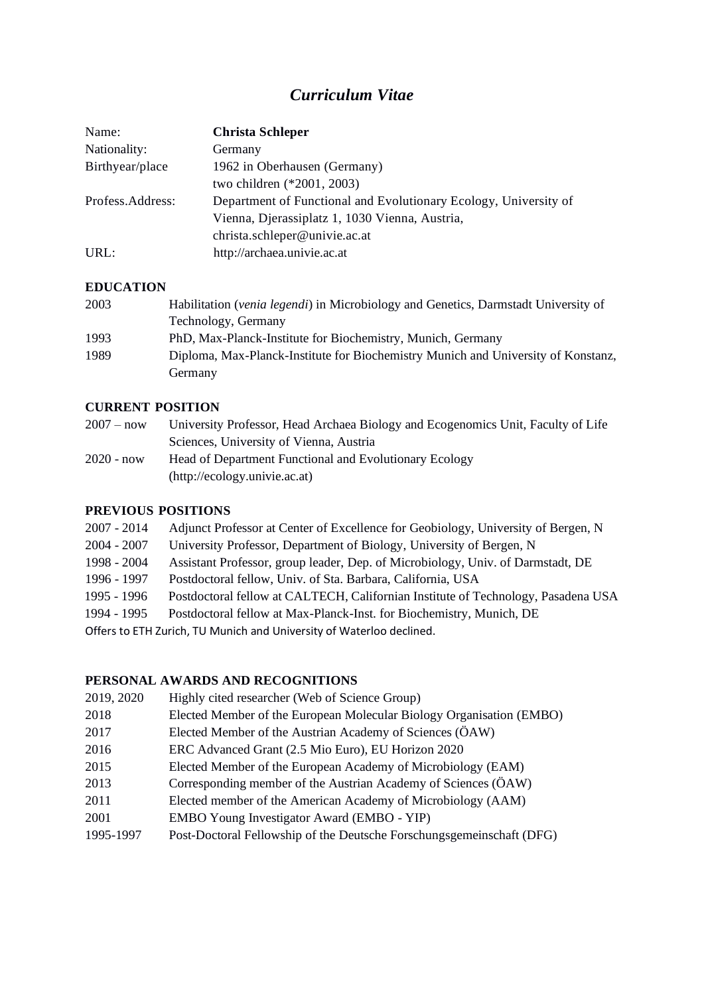# *Curriculum Vitae*

| Name:            | <b>Christa Schleper</b>                                          |
|------------------|------------------------------------------------------------------|
| Nationality:     | Germany                                                          |
| Birthyear/place  | 1962 in Oberhausen (Germany)                                     |
|                  | two children (*2001, 2003)                                       |
| Profess.Address: | Department of Functional and Evolutionary Ecology, University of |
|                  | Vienna, Djerassiplatz 1, 1030 Vienna, Austria,                   |
|                  | christa.schleper@univie.ac.at                                    |
| URL:             | http://archaea.univie.ac.at                                      |

## **EDUCATION**

| 2003 | Habilitation <i>(venia legendi)</i> in Microbiology and Genetics, Darmstadt University of |
|------|-------------------------------------------------------------------------------------------|
|      | Technology, Germany                                                                       |
| 1993 | PhD, Max-Planck-Institute for Biochemistry, Munich, Germany                               |
| 1989 | Diploma, Max-Planck-Institute for Biochemistry Munich and University of Konstanz,         |
|      | Germany                                                                                   |

## **CURRENT POSITION**

| $2007 - now$ | University Professor, Head Archaea Biology and Ecogenomics Unit, Faculty of Life |
|--------------|----------------------------------------------------------------------------------|
|              | Sciences, University of Vienna, Austria                                          |
| $2020 - now$ | Head of Department Functional and Evolutionary Ecology                           |
|              | (http://ecology.univie.ac.at)                                                    |

# **PREVIOUS POSITIONS**

| 2007 - 2014                                                          | Adjunct Professor at Center of Excellence for Geobiology, University of Bergen, N |
|----------------------------------------------------------------------|-----------------------------------------------------------------------------------|
| 2004 - 2007                                                          | University Professor, Department of Biology, University of Bergen, N              |
| 1998 - 2004                                                          | Assistant Professor, group leader, Dep. of Microbiology, Univ. of Darmstadt, DE   |
| 1996 - 1997                                                          | Postdoctoral fellow, Univ. of Sta. Barbara, California, USA                       |
| 1995 - 1996                                                          | Postdoctoral fellow at CALTECH, Californian Institute of Technology, Pasadena USA |
| 1994 - 1995                                                          | Postdoctoral fellow at Max-Planck-Inst. for Biochemistry, Munich, DE              |
| Offers to ETH Zurich, TU Munich and University of Waterloo declined. |                                                                                   |

# **PERSONAL AWARDS AND RECOGNITIONS**

| Highly cited researcher (Web of Science Group)                        |
|-----------------------------------------------------------------------|
| Elected Member of the European Molecular Biology Organisation (EMBO)  |
| Elected Member of the Austrian Academy of Sciences (ÖAW)              |
| ERC Advanced Grant (2.5 Mio Euro), EU Horizon 2020                    |
| Elected Member of the European Academy of Microbiology (EAM)          |
| Corresponding member of the Austrian Academy of Sciences (ÖAW)        |
| Elected member of the American Academy of Microbiology (AAM)          |
| EMBO Young Investigator Award (EMBO - YIP)                            |
| Post-Doctoral Fellowship of the Deutsche Forschungsgemeinschaft (DFG) |
|                                                                       |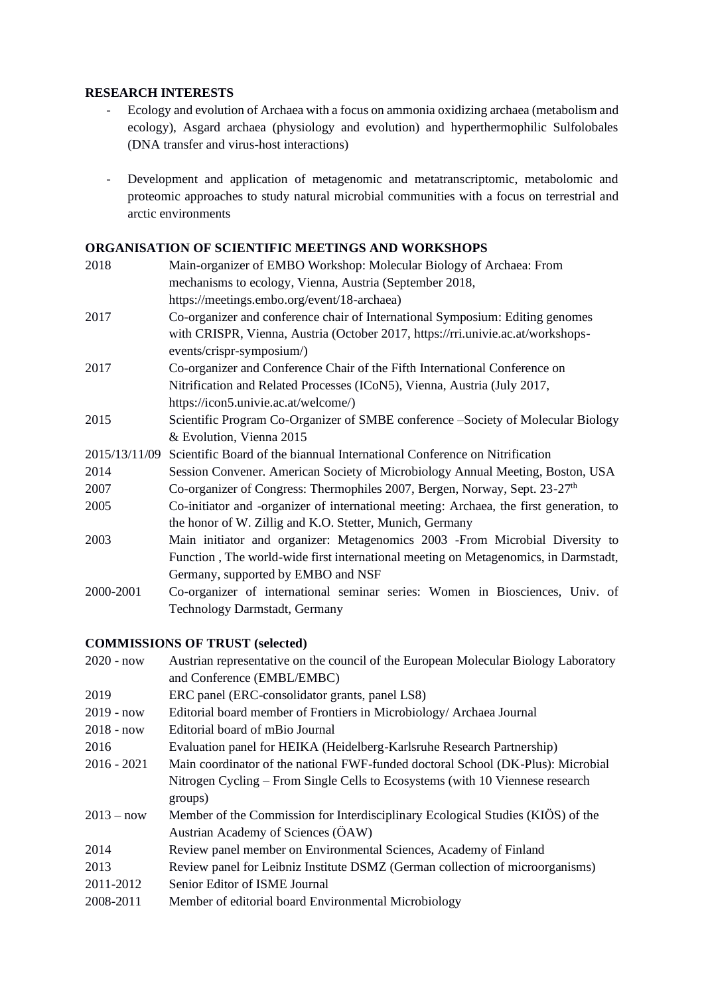#### **RESEARCH INTERESTS**

- Ecology and evolution of Archaea with a focus on ammonia oxidizing archaea (metabolism and ecology), Asgard archaea (physiology and evolution) and hyperthermophilic Sulfolobales (DNA transfer and virus-host interactions)
- Development and application of metagenomic and metatranscriptomic, metabolomic and proteomic approaches to study natural microbial communities with a focus on terrestrial and arctic environments

#### **ORGANISATION OF SCIENTIFIC MEETINGS AND WORKSHOPS**

| 2018          | Main-organizer of EMBO Workshop: Molecular Biology of Archaea: From                     |  |  |
|---------------|-----------------------------------------------------------------------------------------|--|--|
|               | mechanisms to ecology, Vienna, Austria (September 2018,                                 |  |  |
|               | https://meetings.embo.org/event/18-archaea)                                             |  |  |
| 2017          | Co-organizer and conference chair of International Symposium: Editing genomes           |  |  |
|               | with CRISPR, Vienna, Austria (October 2017, https://rri.univie.ac.at/workshops-         |  |  |
|               | events/crispr-symposium/)                                                               |  |  |
| 2017          | Co-organizer and Conference Chair of the Fifth International Conference on              |  |  |
|               | Nitrification and Related Processes (ICoN5), Vienna, Austria (July 2017,                |  |  |
|               | https://icon5.univie.ac.at/welcome/)                                                    |  |  |
| 2015          | Scientific Program Co-Organizer of SMBE conference -Society of Molecular Biology        |  |  |
|               | & Evolution, Vienna 2015                                                                |  |  |
| 2015/13/11/09 | Scientific Board of the biannual International Conference on Nitrification              |  |  |
| 2014          | Session Convener. American Society of Microbiology Annual Meeting, Boston, USA          |  |  |
| 2007          | Co-organizer of Congress: Thermophiles 2007, Bergen, Norway, Sept. 23-27 <sup>th</sup>  |  |  |
| 2005          | Co-initiator and -organizer of international meeting: Archaea, the first generation, to |  |  |
|               | the honor of W. Zillig and K.O. Stetter, Munich, Germany                                |  |  |
| 2003          | Main initiator and organizer: Metagenomics 2003 -From Microbial Diversity to            |  |  |
|               | Function, The world-wide first international meeting on Metagenomics, in Darmstadt,     |  |  |
|               | Germany, supported by EMBO and NSF                                                      |  |  |
| 2000-2001     | Co-organizer of international seminar series: Women in Biosciences, Univ. of            |  |  |
|               | Technology Darmstadt, Germany                                                           |  |  |
|               |                                                                                         |  |  |

## **COMMISSIONS OF TRUST (selected)**

| $2020 - now$  | Austrian representative on the council of the European Molecular Biology Laboratory |
|---------------|-------------------------------------------------------------------------------------|
|               | and Conference (EMBL/EMBC)                                                          |
| 2019          | ERC panel (ERC-consolidator grants, panel LS8)                                      |
| $2019 - now$  | Editorial board member of Frontiers in Microbiology/Archaea Journal                 |
| $2018 - now$  | Editorial board of mBio Journal                                                     |
| 2016          | Evaluation panel for HEIKA (Heidelberg-Karlsruhe Research Partnership)              |
| $2016 - 2021$ | Main coordinator of the national FWF-funded doctoral School (DK-Plus): Microbial    |
|               | Nitrogen Cycling – From Single Cells to Ecosystems (with 10 Viennese research       |
|               | groups)                                                                             |
| $2013 - now$  | Member of the Commission for Interdisciplinary Ecological Studies (KIÖS) of the     |
|               | Austrian Academy of Sciences (ÖAW)                                                  |
| 2014          | Review panel member on Environmental Sciences, Academy of Finland                   |
| 2013          | Review panel for Leibniz Institute DSMZ (German collection of microorganisms)       |
| 2011-2012     | Senior Editor of ISME Journal                                                       |
| 2008-2011     | Member of editorial board Environmental Microbiology                                |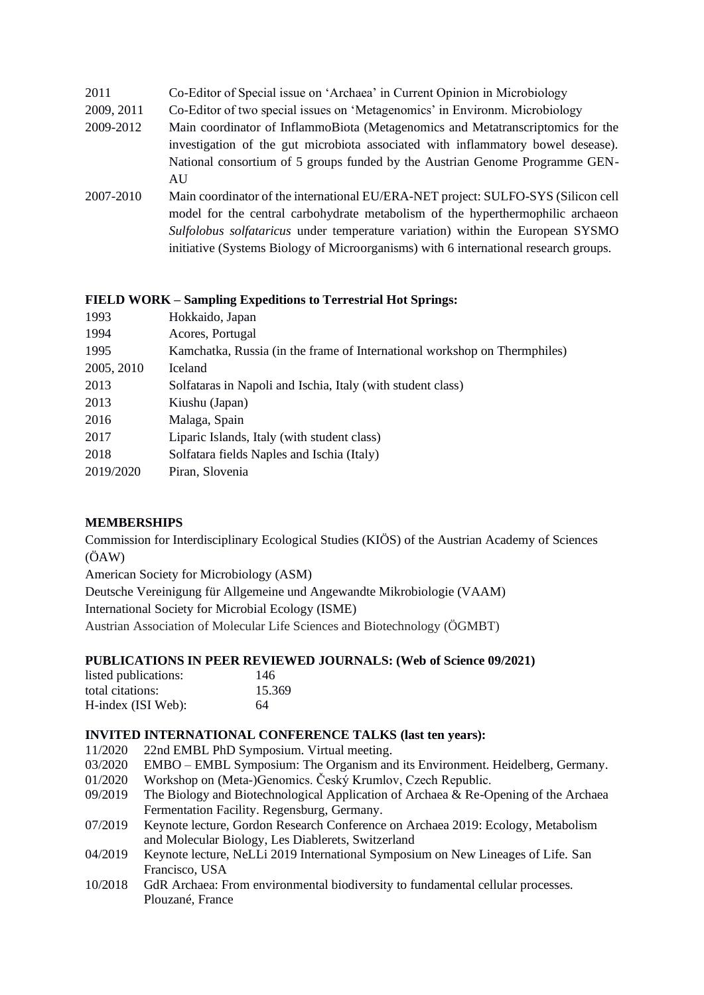- 2011 Co-Editor of Special issue on 'Archaea' in Current Opinion in Microbiology
- 2009, 2011 Co-Editor of two special issues on 'Metagenomics' in Environm. Microbiology
- 2009-2012 Main coordinator of InflammoBiota (Metagenomics and Metatranscriptomics for the investigation of the gut microbiota associated with inflammatory bowel desease). National consortium of 5 groups funded by the Austrian Genome Programme GEN-AU
- 2007-2010 Main coordinator of the international EU/ERA-NET project: SULFO-SYS (Silicon cell model for the central carbohydrate metabolism of the hyperthermophilic archaeon *Sulfolobus solfataricus* under temperature variation) within the European SYSMO initiative (Systems Biology of Microorganisms) with 6 international research groups.

#### **FIELD WORK – Sampling Expeditions to Terrestrial Hot Springs:**

| 1993       | Hokkaido, Japan                                                           |
|------------|---------------------------------------------------------------------------|
| 1994       | Acores, Portugal                                                          |
| 1995       | Kamchatka, Russia (in the frame of International workshop on Thermphiles) |
| 2005, 2010 | <b>Iceland</b>                                                            |
| 2013       | Solfataras in Napoli and Ischia, Italy (with student class)               |
| 2013       | Kiushu (Japan)                                                            |
| 2016       | Malaga, Spain                                                             |
| 2017       | Liparic Islands, Italy (with student class)                               |
| 2018       | Solfatara fields Naples and Ischia (Italy)                                |
| 2019/2020  | Piran, Slovenia                                                           |
|            |                                                                           |

## **MEMBERSHIPS**

Commission for Interdisciplinary Ecological Studies (KIÖS) of the Austrian Academy of Sciences (ÖAW)

American Society for Microbiology (ASM)

Deutsche Vereinigung für Allgemeine und Angewandte Mikrobiologie (VAAM)

International Society for Microbial Ecology (ISME)

Austrian Association of Molecular Life Sciences and Biotechnology (ÖGMBT)

#### **PUBLICATIONS IN PEER REVIEWED JOURNALS: (Web of Science 09/2021)**

| listed publications: | 146    |
|----------------------|--------|
| total citations:     | 15.369 |
| H-index (ISI Web):   | 64     |

#### **INVITED INTERNATIONAL CONFERENCE TALKS (last ten years):**

- 11/2020 22nd EMBL PhD Symposium. Virtual meeting.
- 03/2020 EMBO EMBL Symposium: The Organism and its Environment. Heidelberg, Germany.
- 01/2020 Workshop on (Meta-)Genomics. Český Krumlov, Czech Republic.
- 09/2019 The Biology and Biotechnological Application of Archaea & Re-Opening of the Archaea Fermentation Facility. Regensburg, Germany.
- 07/2019 Keynote lecture, Gordon Research Conference on Archaea 2019: Ecology, Metabolism and Molecular Biology, Les Diablerets, Switzerland
- 04/2019 Keynote lecture, NeLLi 2019 International Symposium on New Lineages of Life. San Francisco, USA
- 10/2018 GdR Archaea: From environmental biodiversity to fundamental cellular processes. Plouzané, France